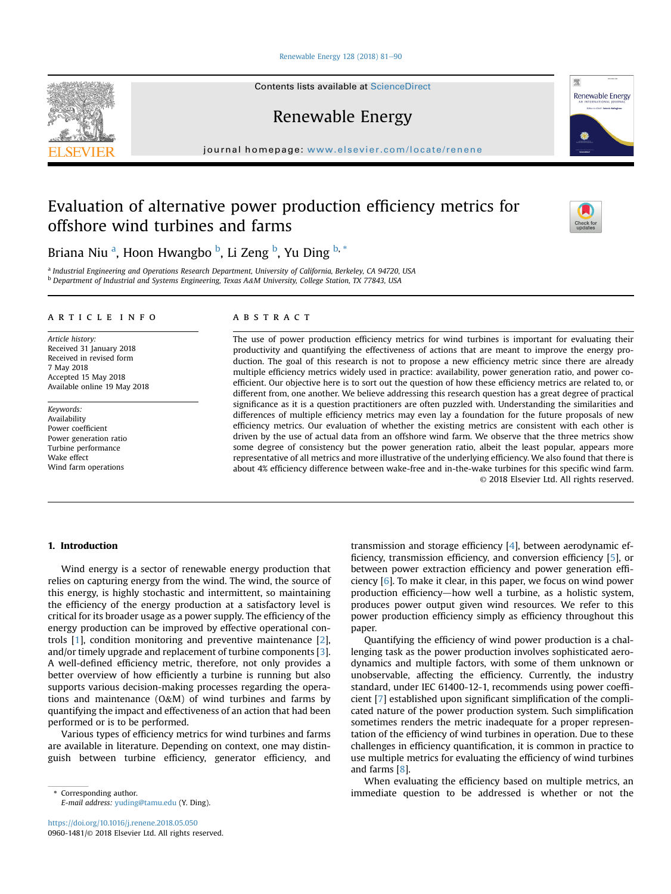[Renewable Energy 128 \(2018\) 81](https://doi.org/10.1016/j.renene.2018.05.050)-[90](https://doi.org/10.1016/j.renene.2018.05.050)

Contents lists available at ScienceDirect

Renewable Energy

journal homepage: [www.elsevier.com/locate/renene](http://www.elsevier.com/locate/renene)

# Evaluation of alternative power production efficiency metrics for offshore wind turbines and farms

Briana Niu <sup>a</sup>, Hoon Hwangbo <sup>b</sup>, Li Zeng <sup>b</sup>, Yu Ding <sup>b, \*</sup>

<sup>a</sup> Industrial Engineering and Operations Research Department, University of California, Berkeley, CA 94720, USA <sup>b</sup> Department of Industrial and Systems Engineering, Texas A&M University, College Station, TX 77843, USA

#### article info

Article history: Received 31 January 2018 Received in revised form 7 May 2018 Accepted 15 May 2018 Available online 19 May 2018

Keywords: Availability Power coefficient Power generation ratio Turbine performance Wake effect Wind farm operations

## ABSTRACT

The use of power production efficiency metrics for wind turbines is important for evaluating their productivity and quantifying the effectiveness of actions that are meant to improve the energy production. The goal of this research is not to propose a new efficiency metric since there are already multiple efficiency metrics widely used in practice: availability, power generation ratio, and power coefficient. Our objective here is to sort out the question of how these efficiency metrics are related to, or different from, one another. We believe addressing this research question has a great degree of practical significance as it is a question practitioners are often puzzled with. Understanding the similarities and differences of multiple efficiency metrics may even lay a foundation for the future proposals of new efficiency metrics. Our evaluation of whether the existing metrics are consistent with each other is driven by the use of actual data from an offshore wind farm. We observe that the three metrics show some degree of consistency but the power generation ratio, albeit the least popular, appears more representative of all metrics and more illustrative of the underlying efficiency. We also found that there is about 4% efficiency difference between wake-free and in-the-wake turbines for this specific wind farm. © 2018 Elsevier Ltd. All rights reserved.

paper.

and farms [\[8\]](#page-8-0).

### 1. Introduction

Wind energy is a sector of renewable energy production that relies on capturing energy from the wind. The wind, the source of this energy, is highly stochastic and intermittent, so maintaining the efficiency of the energy production at a satisfactory level is critical for its broader usage as a power supply. The efficiency of the energy production can be improved by effective operational controls [\[1](#page-8-0)], condition monitoring and preventive maintenance [\[2\]](#page-8-0), and/or timely upgrade and replacement of turbine components [\[3\]](#page-8-0). A well-defined efficiency metric, therefore, not only provides a better overview of how efficiently a turbine is running but also supports various decision-making processes regarding the operations and maintenance (O&M) of wind turbines and farms by quantifying the impact and effectiveness of an action that had been performed or is to be performed.

Various types of efficiency metrics for wind turbines and farms are available in literature. Depending on context, one may distinguish between turbine efficiency, generator efficiency, and

E-mail address: [yuding@tamu.edu](mailto:yuding@tamu.edu) (Y. Ding).

When evaluating the efficiency based on multiple metrics, an Corresponding author. The corresponding author. The corresponding author. The corresponding author.

transmission and storage efficiency [\[4\]](#page-8-0), between aerodynamic efficiency, transmission efficiency, and conversion efficiency [[5\]](#page-8-0), or between power extraction efficiency and power generation efficiency [[6\]](#page-8-0). To make it clear, in this paper, we focus on wind power production efficiency—how well a turbine, as a holistic system, produces power output given wind resources. We refer to this power production efficiency simply as efficiency throughout this

Quantifying the efficiency of wind power production is a challenging task as the power production involves sophisticated aerodynamics and multiple factors, with some of them unknown or unobservable, affecting the efficiency. Currently, the industry standard, under IEC 61400-12-1, recommends using power coefficient [[7](#page-8-0)] established upon significant simplification of the complicated nature of the power production system. Such simplification sometimes renders the metric inadequate for a proper representation of the efficiency of wind turbines in operation. Due to these challenges in efficiency quantification, it is common in practice to use multiple metrics for evaluating the efficiency of wind turbines





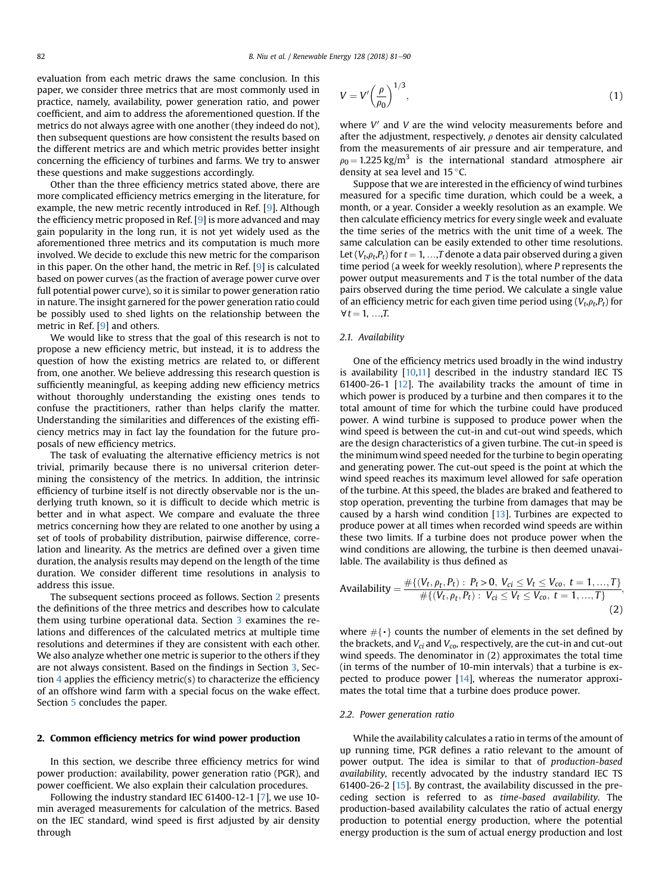<span id="page-1-0"></span>evaluation from each metric draws the same conclusion. In this paper, we consider three metrics that are most commonly used in practice, namely, availability, power generation ratio, and power coefficient, and aim to address the aforementioned question. If the metrics do not always agree with one another (they indeed do not), then subsequent questions are how consistent the results based on the different metrics are and which metric provides better insight concerning the efficiency of turbines and farms. We try to answer these questions and make suggestions accordingly.

Other than the three efficiency metrics stated above, there are more complicated efficiency metrics emerging in the literature, for example, the new metric recently introduced in Ref. [[9\]](#page-8-0). Although the efficiency metric proposed in Ref. [[9](#page-8-0)] is more advanced and may gain popularity in the long run, it is not yet widely used as the aforementioned three metrics and its computation is much more involved. We decide to exclude this new metric for the comparison in this paper. On the other hand, the metric in Ref. [[9](#page-8-0)] is calculated based on power curves (as the fraction of average power curve over full potential power curve), so it is similar to power generation ratio in nature. The insight garnered for the power generation ratio could be possibly used to shed lights on the relationship between the metric in Ref. [[9\]](#page-8-0) and others.

We would like to stress that the goal of this research is not to propose a new efficiency metric, but instead, it is to address the question of how the existing metrics are related to, or different from, one another. We believe addressing this research question is sufficiently meaningful, as keeping adding new efficiency metrics without thoroughly understanding the existing ones tends to confuse the practitioners, rather than helps clarify the matter. Understanding the similarities and differences of the existing efficiency metrics may in fact lay the foundation for the future proposals of new efficiency metrics.

The task of evaluating the alternative efficiency metrics is not trivial, primarily because there is no universal criterion determining the consistency of the metrics. In addition, the intrinsic efficiency of turbine itself is not directly observable nor is the underlying truth known, so it is difficult to decide which metric is better and in what aspect. We compare and evaluate the three metrics concerning how they are related to one another by using a set of tools of probability distribution, pairwise difference, correlation and linearity. As the metrics are defined over a given time duration, the analysis results may depend on the length of the time duration. We consider different time resolutions in analysis to address this issue.

The subsequent sections proceed as follows. Section 2 presents the definitions of the three metrics and describes how to calculate them using turbine operational data. Section [3](#page-2-0) examines the relations and differences of the calculated metrics at multiple time resolutions and determines if they are consistent with each other. We also analyze whether one metric is superior to the others if they are not always consistent. Based on the findings in Section [3,](#page-2-0) Section  $4$  applies the efficiency metric(s) to characterize the efficiency of an offshore wind farm with a special focus on the wake effect. Section [5](#page-7-0) concludes the paper.

#### 2. Common efficiency metrics for wind power production

In this section, we describe three efficiency metrics for wind power production: availability, power generation ratio (PGR), and power coefficient. We also explain their calculation procedures.

Following the industry standard IEC 61400-12-1 [\[7\]](#page-8-0), we use 10 min averaged measurements for calculation of the metrics. Based on the IEC standard, wind speed is first adjusted by air density through

$$
V = V' \left(\frac{\rho}{\rho_0}\right)^{1/3},\tag{1}
$$

where  $V'$  and  $V$  are the wind velocity measurements before and after the adjustment, respectively,  $\rho$  denotes air density calculated from the measurements of air pressure and air temperature, and  $\rho_0 = 1.225 \text{ kg/m}^3$  is the international standard atmosphere air density at sea level and  $15 \degree C$ .

Suppose that we are interested in the efficiency of wind turbines measured for a specific time duration, which could be a week, a month, or a year. Consider a weekly resolution as an example. We then calculate efficiency metrics for every single week and evaluate the time series of the metrics with the unit time of a week. The same calculation can be easily extended to other time resolutions. Let  $(V_t, \rho_t, P_t)$  for  $t = 1, ..., T$  denote a data pair observed during a given time period (a week for weekly resolution), where P represents the power output measurements and  $T$  is the total number of the data pairs observed during the time period. We calculate a single value of an efficiency metric for each given time period using  $(V_t, \rho_t, P_t)$  for  $\forall t = 1, ..., T$ .

#### 2.1. Availability

One of the efficiency metrics used broadly in the wind industry is availability [\[10,11](#page-8-0)] described in the industry standard IEC TS 61400-26-1 [\[12](#page-8-0)]. The availability tracks the amount of time in which power is produced by a turbine and then compares it to the total amount of time for which the turbine could have produced power. A wind turbine is supposed to produce power when the wind speed is between the cut-in and cut-out wind speeds, which are the design characteristics of a given turbine. The cut-in speed is the minimum wind speed needed for the turbine to begin operating and generating power. The cut-out speed is the point at which the wind speed reaches its maximum level allowed for safe operation of the turbine. At this speed, the blades are braked and feathered to stop operation, preventing the turbine from damages that may be caused by a harsh wind condition  $[13]$  $[13]$ . Turbines are expected to produce power at all times when recorded wind speeds are within these two limits. If a turbine does not produce power when the wind conditions are allowing, the turbine is then deemed unavailable. The availability is thus defined as

$$
\text{Availableility} = \frac{\#\{(V_t, \rho_t, P_t) : P_t > 0, \ V_{ci} \le V_t \le V_{co}, \ t = 1, ..., T\}}{\#\{(V_t, \rho_t, P_t) : \ V_{ci} \le V_t \le V_{co}, \ t = 1, ..., T\}}\tag{2}
$$

where  $\#\{\cdot\}$  counts the number of elements in the set defined by the brackets, and  $V_{ci}$  and  $V_{co}$ , respectively, are the cut-in and cut-out wind speeds. The denominator in (2) approximates the total time (in terms of the number of 10-min intervals) that a turbine is expected to produce power [[14\]](#page-8-0), whereas the numerator approximates the total time that a turbine does produce power.

#### 2.2. Power generation ratio

While the availability calculates a ratio in terms of the amount of up running time, PGR defines a ratio relevant to the amount of power output. The idea is similar to that of production-based availability, recently advocated by the industry standard IEC TS 61400-26-2 [\[15](#page-8-0)]. By contrast, the availability discussed in the preceding section is referred to as time-based availability. The production-based availability calculates the ratio of actual energy production to potential energy production, where the potential energy production is the sum of actual energy production and lost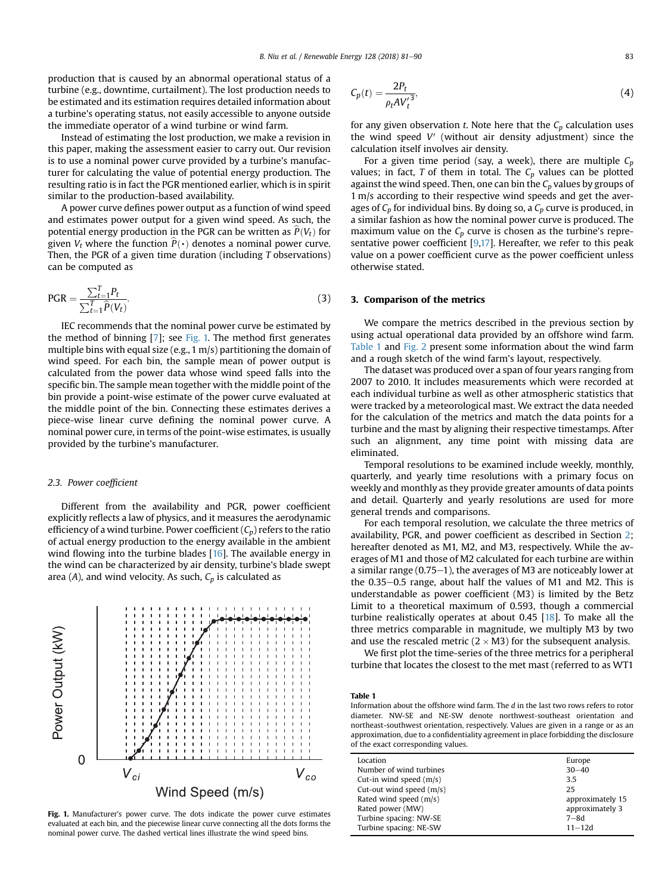<span id="page-2-0"></span>production that is caused by an abnormal operational status of a turbine (e.g., downtime, curtailment). The lost production needs to be estimated and its estimation requires detailed information about a turbine's operating status, not easily accessible to anyone outside the immediate operator of a wind turbine or wind farm.

Instead of estimating the lost production, we make a revision in this paper, making the assessment easier to carry out. Our revision is to use a nominal power curve provided by a turbine's manufacturer for calculating the value of potential energy production. The resulting ratio is in fact the PGR mentioned earlier, which is in spirit similar to the production-based availability.

A power curve defines power output as a function of wind speed and estimates power output for a given wind speed. As such, the potential energy production in the PGR can be written as  $\tilde{P}(V_t)$  for given  $V_t$  where the function  $\widehat{P}(\cdot)$  denotes a nominal power curve. Then, the PGR of a given time duration (including T observations) can be computed as

$$
PGR = \frac{\sum_{t=1}^{T} P_t}{\sum_{t=1}^{T} \hat{P}(V_t)}.
$$
\n(3)

IEC recommends that the nominal power curve be estimated by the method of binning [\[7\]](#page-8-0); see Fig. 1. The method first generates multiple bins with equal size (e.g., 1 m/s) partitioning the domain of wind speed. For each bin, the sample mean of power output is calculated from the power data whose wind speed falls into the specific bin. The sample mean together with the middle point of the bin provide a point-wise estimate of the power curve evaluated at the middle point of the bin. Connecting these estimates derives a piece-wise linear curve defining the nominal power curve. A nominal power cure, in terms of the point-wise estimates, is usually provided by the turbine's manufacturer.

## 2.3. Power coefficient

Different from the availability and PGR, power coefficient explicitly reflects a law of physics, and it measures the aerodynamic efficiency of a wind turbine. Power coefficient  $(C_p)$  refers to the ratio of actual energy production to the energy available in the ambient wind flowing into the turbine blades [[16\]](#page-8-0). The available energy in the wind can be characterized by air density, turbine's blade swept area (A), and wind velocity. As such,  $C_p$  is calculated as



Fig. 1. Manufacturer's power curve. The dots indicate the power curve estimates evaluated at each bin, and the piecewise linear curve connecting all the dots forms the nominal power curve. The dashed vertical lines illustrate the wind speed bins.

$$
C_p(t) = \frac{2P_t}{\rho_t A V_t^{'3}},\tag{4}
$$

for any given observation  $t$ . Note here that the  $C_p$  calculation uses the wind speed  $V'$  (without air density adjustment) since the calculation itself involves air density.

For a given time period (say, a week), there are multiple  $C_n$ values; in fact, T of them in total. The  $C_p$  values can be plotted against the wind speed. Then, one can bin the  $C_p$  values by groups of 1 m/s according to their respective wind speeds and get the averages of  $C_p$  for individual bins. By doing so, a  $C_p$  curve is produced, in a similar fashion as how the nominal power curve is produced. The maximum value on the  $C_p$  curve is chosen as the turbine's repre-sentative power coefficient [\[9](#page-8-0),[17](#page-8-0)]. Hereafter, we refer to this peak value on a power coefficient curve as the power coefficient unless otherwise stated.

#### 3. Comparison of the metrics

We compare the metrics described in the previous section by using actual operational data provided by an offshore wind farm. Table 1 and [Fig. 2](#page-3-0) present some information about the wind farm and a rough sketch of the wind farm's layout, respectively.

The dataset was produced over a span of four years ranging from 2007 to 2010. It includes measurements which were recorded at each individual turbine as well as other atmospheric statistics that were tracked by a meteorological mast. We extract the data needed for the calculation of the metrics and match the data points for a turbine and the mast by aligning their respective timestamps. After such an alignment, any time point with missing data are eliminated.

Temporal resolutions to be examined include weekly, monthly, quarterly, and yearly time resolutions with a primary focus on weekly and monthly as they provide greater amounts of data points and detail. Quarterly and yearly resolutions are used for more general trends and comparisons.

For each temporal resolution, we calculate the three metrics of availability, PGR, and power coefficient as described in Section [2;](#page-1-0) hereafter denoted as M1, M2, and M3, respectively. While the averages of M1 and those of M2 calculated for each turbine are within a similar range  $(0.75-1)$ , the averages of M3 are noticeably lower at the  $0.35-0.5$  range, about half the values of M1 and M2. This is understandable as power coefficient (M3) is limited by the Betz Limit to a theoretical maximum of 0.593, though a commercial turbine realistically operates at about 0.45 [[18\]](#page-8-0). To make all the three metrics comparable in magnitude, we multiply M3 by two and use the rescaled metric ( $2 \times M3$ ) for the subsequent analysis.

We first plot the time-series of the three metrics for a peripheral turbine that locates the closest to the met mast (referred to as WT1

#### Table 1

Information about the offshore wind farm. The d in the last two rows refers to rotor diameter. NW-SE and NE-SW denote northwest-southeast orientation and northeast-southwest orientation, respectively. Values are given in a range or as an approximation, due to a confidentiality agreement in place forbidding the disclosure of the exact corresponding values.

| Location                   | Europe           |
|----------------------------|------------------|
| Number of wind turbines    | $30 - 40$        |
| Cut-in wind speed $(m/s)$  | 35               |
| Cut-out wind speed $(m/s)$ | 25               |
| Rated wind speed (m/s)     | approximately 15 |
| Rated power (MW)           | approximately 3  |
| Turbine spacing: NW-SE     | $7 - 8d$         |
| Turbine spacing: NE-SW     | $11 - 12d$       |
|                            |                  |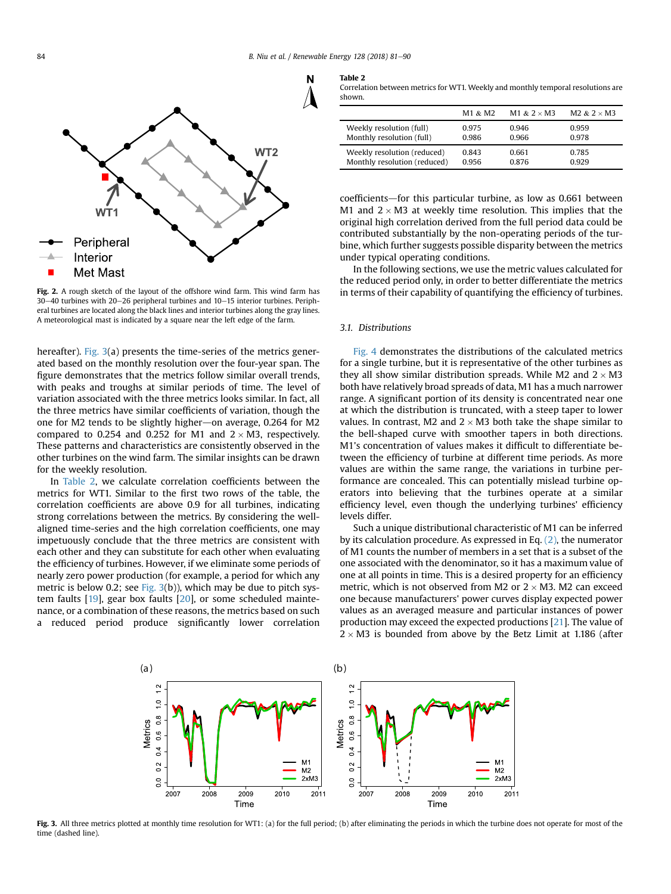<span id="page-3-0"></span>

Fig. 2. A rough sketch of the layout of the offshore wind farm. This wind farm has  $30-40$  turbines with  $20-26$  peripheral turbines and  $10-15$  interior turbines. Peripheral turbines are located along the black lines and interior turbines along the gray lines. A meteorological mast is indicated by a square near the left edge of the farm.

hereafter). Fig. 3(a) presents the time-series of the metrics generated based on the monthly resolution over the four-year span. The figure demonstrates that the metrics follow similar overall trends, with peaks and troughs at similar periods of time. The level of variation associated with the three metrics looks similar. In fact, all the three metrics have similar coefficients of variation, though the one for M2 tends to be slightly higher-on average, 0.264 for M2 compared to 0.254 and 0.252 for M1 and  $2 \times M3$ , respectively. These patterns and characteristics are consistently observed in the other turbines on the wind farm. The similar insights can be drawn for the weekly resolution.

In Table 2, we calculate correlation coefficients between the metrics for WT1. Similar to the first two rows of the table, the correlation coefficients are above 0.9 for all turbines, indicating strong correlations between the metrics. By considering the wellaligned time-series and the high correlation coefficients, one may impetuously conclude that the three metrics are consistent with each other and they can substitute for each other when evaluating the efficiency of turbines. However, if we eliminate some periods of nearly zero power production (for example, a period for which any metric is below 0.2; see Fig. 3(b)), which may be due to pitch system faults [\[19](#page-8-0)], gear box faults [[20](#page-8-0)], or some scheduled maintenance, or a combination of these reasons, the metrics based on such a reduced period produce significantly lower correlation



Correlation between metrics for WT1. Weekly and monthly temporal resolutions are shown.

|                              | $M1 & k$ M2 | M1 & $2 \times M3$ | M2 & $2 \times M3$ |
|------------------------------|-------------|--------------------|--------------------|
| Weekly resolution (full)     | 0.975       | 0.946              | 0.959              |
| Monthly resolution (full)    | 0.986       | 0.966              | 0.978              |
| Weekly resolution (reduced)  | 0.843       | 0.661              | 0.785              |
| Monthly resolution (reduced) | 0.956       | 0.876              | 0.929              |

 $coefficients$  -for this particular turbine, as low as 0.661 between M1 and  $2 \times M3$  at weekly time resolution. This implies that the original high correlation derived from the full period data could be contributed substantially by the non-operating periods of the turbine, which further suggests possible disparity between the metrics under typical operating conditions.

In the following sections, we use the metric values calculated for the reduced period only, in order to better differentiate the metrics in terms of their capability of quantifying the efficiency of turbines.

#### 3.1. Distributions

[Fig. 4](#page-4-0) demonstrates the distributions of the calculated metrics for a single turbine, but it is representative of the other turbines as they all show similar distribution spreads. While M2 and  $2 \times M3$ both have relatively broad spreads of data, M1 has a much narrower range. A significant portion of its density is concentrated near one at which the distribution is truncated, with a steep taper to lower values. In contrast, M2 and  $2 \times M3$  both take the shape similar to the bell-shaped curve with smoother tapers in both directions. M1's concentration of values makes it difficult to differentiate between the efficiency of turbine at different time periods. As more values are within the same range, the variations in turbine performance are concealed. This can potentially mislead turbine operators into believing that the turbines operate at a similar efficiency level, even though the underlying turbines' efficiency levels differ.

Such a unique distributional characteristic of M1 can be inferred by its calculation procedure. As expressed in Eq. [\(2\)](#page-1-0), the numerator of M1 counts the number of members in a set that is a subset of the one associated with the denominator, so it has a maximum value of one at all points in time. This is a desired property for an efficiency metric, which is not observed from M2 or  $2 \times M3$ . M2 can exceed one because manufacturers' power curves display expected power values as an averaged measure and particular instances of power production may exceed the expected productions [[21\]](#page-8-0). The value of  $2 \times M3$  is bounded from above by the Betz Limit at 1.186 (after



Fig. 3. All three metrics plotted at monthly time resolution for WT1: (a) for the full period; (b) after eliminating the periods in which the turbine does not operate for most of the time (dashed line).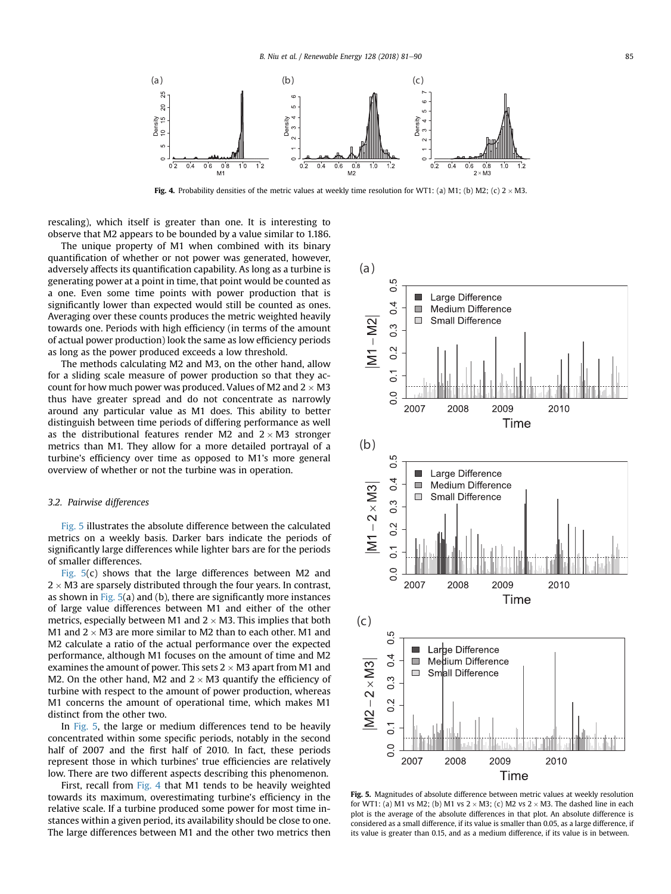<span id="page-4-0"></span>

Fig. 4. Probability densities of the metric values at weekly time resolution for WT1: (a) M1; (b) M2; (c)  $2 \times M3$ .

rescaling), which itself is greater than one. It is interesting to observe that M2 appears to be bounded by a value similar to 1.186.

The unique property of M1 when combined with its binary quantification of whether or not power was generated, however, adversely affects its quantification capability. As long as a turbine is generating power at a point in time, that point would be counted as a one. Even some time points with power production that is significantly lower than expected would still be counted as ones. Averaging over these counts produces the metric weighted heavily towards one. Periods with high efficiency (in terms of the amount of actual power production) look the same as low efficiency periods as long as the power produced exceeds a low threshold.

The methods calculating M2 and M3, on the other hand, allow for a sliding scale measure of power production so that they account for how much power was produced. Values of M2 and  $2 \times M3$ thus have greater spread and do not concentrate as narrowly around any particular value as M1 does. This ability to better distinguish between time periods of differing performance as well as the distributional features render M2 and  $2 \times M3$  stronger metrics than M1. They allow for a more detailed portrayal of a turbine's efficiency over time as opposed to M1's more general overview of whether or not the turbine was in operation.

#### 3.2. Pairwise differences

Fig. 5 illustrates the absolute difference between the calculated metrics on a weekly basis. Darker bars indicate the periods of significantly large differences while lighter bars are for the periods of smaller differences.

Fig.  $5(c)$  shows that the large differences between M2 and  $2 \times M3$  are sparsely distributed through the four years. In contrast, as shown in Fig.  $5(a)$  and (b), there are significantly more instances of large value differences between M1 and either of the other metrics, especially between M1 and  $2 \times M3$ . This implies that both M1 and  $2 \times M3$  are more similar to M2 than to each other. M1 and M2 calculate a ratio of the actual performance over the expected performance, although M1 focuses on the amount of time and M2 examines the amount of power. This sets  $2 \times M3$  apart from M1 and M2. On the other hand, M2 and  $2 \times M3$  quantify the efficiency of turbine with respect to the amount of power production, whereas M1 concerns the amount of operational time, which makes M1 distinct from the other two.

In Fig. 5, the large or medium differences tend to be heavily concentrated within some specific periods, notably in the second half of 2007 and the first half of 2010. In fact, these periods represent those in which turbines' true efficiencies are relatively low. There are two different aspects describing this phenomenon.

First, recall from Fig. 4 that M1 tends to be heavily weighted towards its maximum, overestimating turbine's efficiency in the relative scale. If a turbine produced some power for most time instances within a given period, its availability should be close to one. The large differences between M1 and the other two metrics then



Fig. 5. Magnitudes of absolute difference between metric values at weekly resolution for WT1: (a) M1 vs M2; (b) M1 vs  $2 \times M3$ ; (c) M2 vs  $2 \times M3$ . The dashed line in each plot is the average of the absolute differences in that plot. An absolute difference is considered as a small difference, if its value is smaller than 0.05, as a large difference, if its value is greater than 0.15, and as a medium difference, if its value is in between.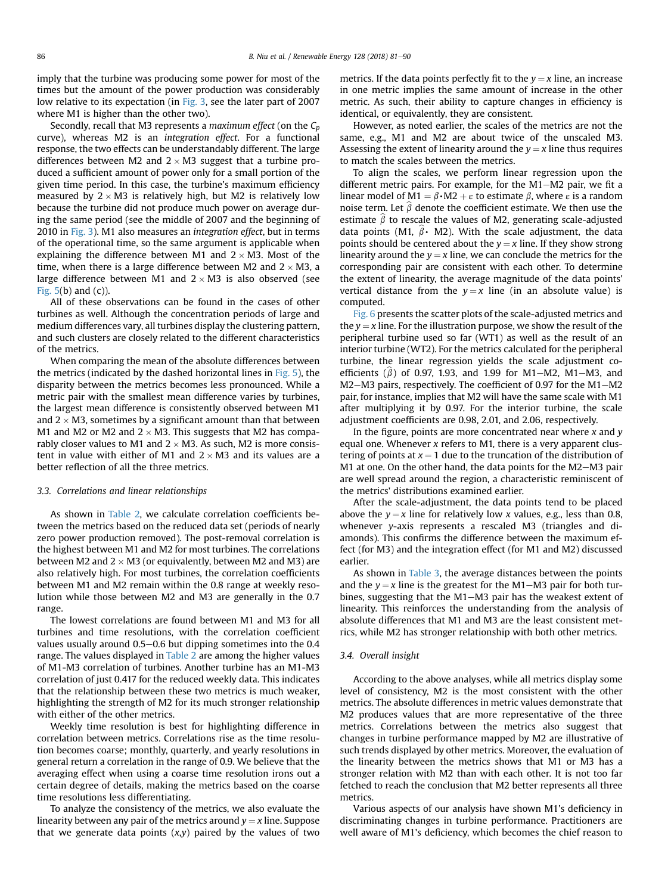imply that the turbine was producing some power for most of the times but the amount of the power production was considerably low relative to its expectation (in [Fig. 3](#page-3-0), see the later part of 2007 where M1 is higher than the other two).

Secondly, recall that M3 represents a *maximum effect* (on the  $C_p$ curve), whereas M2 is an integration effect. For a functional response, the two effects can be understandably different. The large differences between M2 and  $2 \times M3$  suggest that a turbine produced a sufficient amount of power only for a small portion of the given time period. In this case, the turbine's maximum efficiency measured by  $2 \times M3$  is relatively high, but M2 is relatively low because the turbine did not produce much power on average during the same period (see the middle of 2007 and the beginning of 2010 in [Fig. 3\)](#page-3-0). M1 also measures an integration effect, but in terms of the operational time, so the same argument is applicable when explaining the difference between M1 and  $2 \times M3$ . Most of the time, when there is a large difference between M2 and  $2 \times M3$ , a large difference between M1 and  $2 \times M3$  is also observed (see Fig.  $5(b)$  and  $(c)$ ).

All of these observations can be found in the cases of other turbines as well. Although the concentration periods of large and medium differences vary, all turbines display the clustering pattern, and such clusters are closely related to the different characteristics of the metrics.

When comparing the mean of the absolute differences between the metrics (indicated by the dashed horizontal lines in [Fig. 5](#page-4-0)), the disparity between the metrics becomes less pronounced. While a metric pair with the smallest mean difference varies by turbines, the largest mean difference is consistently observed between M1 and  $2 \times M3$ , sometimes by a significant amount than that between M1 and M2 or M2 and  $2 \times M3$ . This suggests that M2 has comparably closer values to M1 and  $2 \times M3$ . As such, M2 is more consistent in value with either of M1 and  $2 \times M3$  and its values are a better reflection of all the three metrics.

#### 3.3. Correlations and linear relationships

As shown in [Table 2](#page-3-0), we calculate correlation coefficients between the metrics based on the reduced data set (periods of nearly zero power production removed). The post-removal correlation is the highest between M1 and M2 for most turbines. The correlations between M2 and  $2 \times M3$  (or equivalently, between M2 and M3) are also relatively high. For most turbines, the correlation coefficients between M1 and M2 remain within the 0.8 range at weekly resolution while those between M2 and M3 are generally in the 0.7 range.

The lowest correlations are found between M1 and M3 for all turbines and time resolutions, with the correlation coefficient values usually around  $0.5-0.6$  but dipping sometimes into the  $0.4$ range. The values displayed in [Table 2](#page-3-0) are among the higher values of M1-M3 correlation of turbines. Another turbine has an M1-M3 correlation of just 0.417 for the reduced weekly data. This indicates that the relationship between these two metrics is much weaker, highlighting the strength of M2 for its much stronger relationship with either of the other metrics.

Weekly time resolution is best for highlighting difference in correlation between metrics. Correlations rise as the time resolution becomes coarse; monthly, quarterly, and yearly resolutions in general return a correlation in the range of 0.9. We believe that the averaging effect when using a coarse time resolution irons out a certain degree of details, making the metrics based on the coarse time resolutions less differentiating.

To analyze the consistency of the metrics, we also evaluate the linearity between any pair of the metrics around  $y = x$  line. Suppose that we generate data points  $(x,y)$  paired by the values of two metrics. If the data points perfectly fit to the  $y = x$  line, an increase in one metric implies the same amount of increase in the other metric. As such, their ability to capture changes in efficiency is identical, or equivalently, they are consistent.

However, as noted earlier, the scales of the metrics are not the same, e.g., M1 and M2 are about twice of the unscaled M3. Assessing the extent of linearity around the  $y = x$  line thus requires to match the scales between the metrics.

To align the scales, we perform linear regression upon the different metric pairs. For example, for the  $M1-M2$  pair, we fit a linear model of  $M1 = \beta \cdot M2 + \varepsilon$  to estimate  $\beta$ , where  $\varepsilon$  is a random noise term. Let  $\hat{\beta}$  denote the coefficient estimate. We then use the estimate  $\hat{\beta}$  to rescale the values of M2, generating scale-adjusted data points (M1,  $\hat{\beta}$  M2). With the scale adjustment, the data points should be centered about the  $y = x$  line. If they show strong linearity around the  $y = x$  line, we can conclude the metrics for the corresponding pair are consistent with each other. To determine the extent of linearity, the average magnitude of the data points' vertical distance from the  $y = x$  line (in an absolute value) is computed.

[Fig. 6](#page-6-0) presents the scatter plots of the scale-adjusted metrics and the  $y = x$  line. For the illustration purpose, we show the result of the peripheral turbine used so far (WT1) as well as the result of an interior turbine (WT2). For the metrics calculated for the peripheral turbine, the linear regression yields the scale adjustment coefficients  $(\widehat{\beta})$  of 0.97, 1.93, and 1.99 for M1-M2, M1-M3, and M2-M3 pairs, respectively. The coefficient of 0.97 for the M1-M2 pair, for instance, implies that M2 will have the same scale with M1 after multiplying it by 0.97. For the interior turbine, the scale adjustment coefficients are 0.98, 2.01, and 2.06, respectively.

In the figure, points are more concentrated near where  $x$  and  $y$ equal one. Whenever x refers to M1, there is a very apparent clustering of points at  $x = 1$  due to the truncation of the distribution of M1 at one. On the other hand, the data points for the  $M2-M3$  pair are well spread around the region, a characteristic reminiscent of the metrics' distributions examined earlier.

After the scale-adjustment, the data points tend to be placed above the  $y = x$  line for relatively low x values, e.g., less than 0.8, whenever y-axis represents a rescaled M3 (triangles and diamonds). This confirms the difference between the maximum effect (for M3) and the integration effect (for M1 and M2) discussed earlier.

As shown in [Table 3](#page-6-0), the average distances between the points and the  $y = x$  line is the greatest for the M1–M3 pair for both turbines, suggesting that the M1 $-M3$  pair has the weakest extent of linearity. This reinforces the understanding from the analysis of absolute differences that M1 and M3 are the least consistent metrics, while M2 has stronger relationship with both other metrics.

#### 3.4. Overall insight

According to the above analyses, while all metrics display some level of consistency, M2 is the most consistent with the other metrics. The absolute differences in metric values demonstrate that M2 produces values that are more representative of the three metrics. Correlations between the metrics also suggest that changes in turbine performance mapped by M2 are illustrative of such trends displayed by other metrics. Moreover, the evaluation of the linearity between the metrics shows that M1 or M3 has a stronger relation with M2 than with each other. It is not too far fetched to reach the conclusion that M2 better represents all three metrics.

Various aspects of our analysis have shown M1's deficiency in discriminating changes in turbine performance. Practitioners are well aware of M1's deficiency, which becomes the chief reason to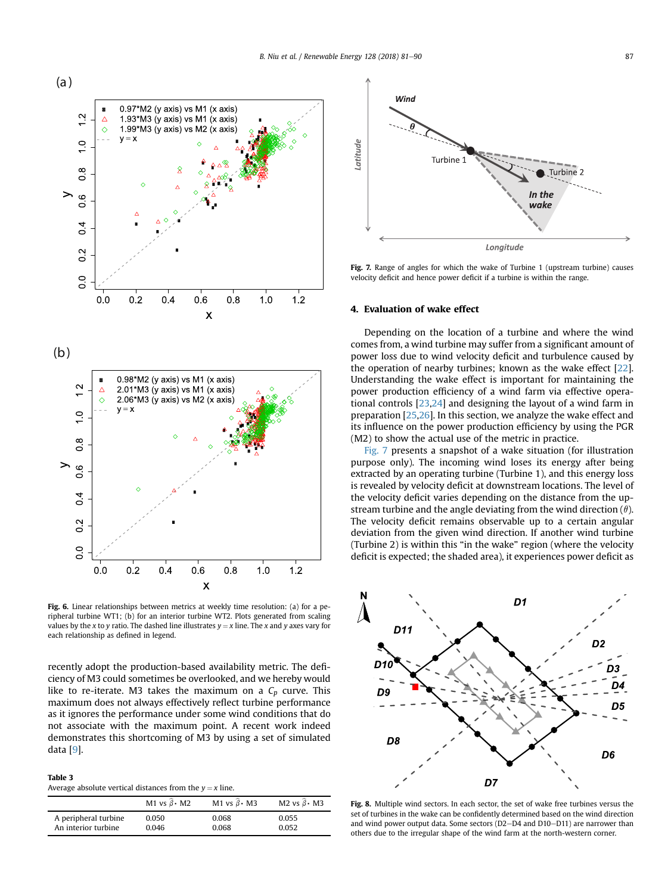<span id="page-6-0"></span>

Fig. 6. Linear relationships between metrics at weekly time resolution: (a) for a peripheral turbine WT1; (b) for an interior turbine WT2. Plots generated from scaling values by the x to y ratio. The dashed line illustrates  $y = x$  line. The x and y axes vary for each relationship as defined in legend.

recently adopt the production-based availability metric. The deficiency of M3 could sometimes be overlooked, and we hereby would like to re-iterate. M3 takes the maximum on a  $C_p$  curve. This maximum does not always effectively reflect turbine performance as it ignores the performance under some wind conditions that do not associate with the maximum point. A recent work indeed demonstrates this shortcoming of M3 by using a set of simulated data [\[9](#page-8-0)].

| Table 3                                                    |  |
|------------------------------------------------------------|--|
| Average absolute vertical distances from the $y = x$ line. |  |

|                      | M1 vs $\beta$ M2 | M1 vs $\beta$ M3 | M <sub>2</sub> vs $\beta$ · M <sub>3</sub> |
|----------------------|------------------|------------------|--------------------------------------------|
| A peripheral turbine | 0.050            | 0.068            | 0.055                                      |
| An interior turbine  | 0.046            | 0.068            | 0.052                                      |



Fig. 7. Range of angles for which the wake of Turbine 1 (upstream turbine) causes velocity deficit and hence power deficit if a turbine is within the range.

#### 4. Evaluation of wake effect

Depending on the location of a turbine and where the wind comes from, a wind turbine may suffer from a significant amount of power loss due to wind velocity deficit and turbulence caused by the operation of nearby turbines; known as the wake effect [\[22\]](#page-8-0). Understanding the wake effect is important for maintaining the power production efficiency of a wind farm via effective operational controls [\[23,24\]](#page-8-0) and designing the layout of a wind farm in preparation [[25,26\]](#page-8-0). In this section, we analyze the wake effect and its influence on the power production efficiency by using the PGR (M2) to show the actual use of the metric in practice.

Fig. 7 presents a snapshot of a wake situation (for illustration purpose only). The incoming wind loses its energy after being extracted by an operating turbine (Turbine 1), and this energy loss is revealed by velocity deficit at downstream locations. The level of the velocity deficit varies depending on the distance from the upstream turbine and the angle deviating from the wind direction  $(\theta)$ . The velocity deficit remains observable up to a certain angular deviation from the given wind direction. If another wind turbine (Turbine 2) is within this "in the wake" region (where the velocity deficit is expected; the shaded area), it experiences power deficit as



Fig. 8. Multiple wind sectors. In each sector, the set of wake free turbines versus the set of turbines in the wake can be confidently determined based on the wind direction and wind power output data. Some sectors  $(D2-D4$  and  $D10-D11$ ) are narrower than others due to the irregular shape of the wind farm at the north-western corner.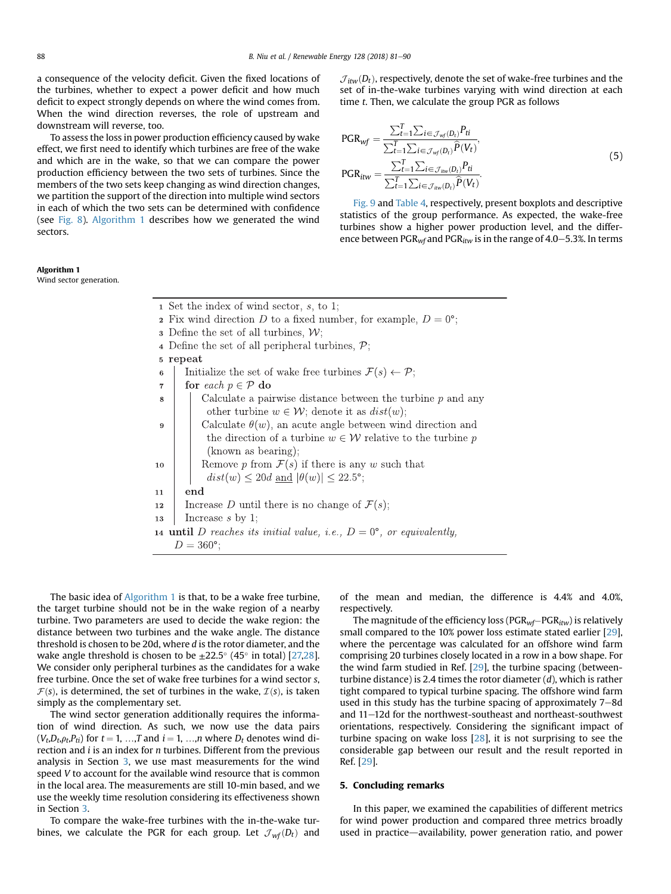<span id="page-7-0"></span>a consequence of the velocity deficit. Given the fixed locations of the turbines, whether to expect a power deficit and how much deficit to expect strongly depends on where the wind comes from. When the wind direction reverses, the role of upstream and downstream will reverse, too.

To assess the loss in power production efficiency caused by wake effect, we first need to identify which turbines are free of the wake and which are in the wake, so that we can compare the power production efficiency between the two sets of turbines. Since the members of the two sets keep changing as wind direction changes, we partition the support of the direction into multiple wind sectors in each of which the two sets can be determined with confidence (see [Fig. 8](#page-6-0)). Algorithm 1 describes how we generated the wind sectors.

## Algorithm 1

Wind sector generation.

 $J_{\text{itw}}(D_t)$ , respectively, denote the set of wake-free turbines and the set of in-the-wake turbines varying with wind direction at each time t. Then, we calculate the group PGR as follows

$$
PGR_{wf} = \frac{\sum_{t=1}^{T} \sum_{i \in \mathcal{J}_{wf}(D_t)} P_{ti}}{\sum_{t=1}^{T} \sum_{i \in \mathcal{J}_{wf}(D_t)} \widehat{P}(V_t)},
$$
  
\n
$$
PGR_{itw} = \frac{\sum_{t=1}^{T} \sum_{i \in \mathcal{J}_{itw}(D_t)} P_{ti}}{\sum_{t=1}^{T} \sum_{i \in \mathcal{J}_{itw}(D_t)} \widehat{P}(V_t)}.
$$
\n(5)

[Fig. 9](#page-8-0) and [Table 4](#page-8-0), respectively, present boxplots and descriptive statistics of the group performance. As expected, the wake-free turbines show a higher power production level, and the difference between PGR<sub>wf</sub> and PGR<sub>itw</sub> is in the range of 4.0–5.3%. In terms

| $\sigma$ is 1 Set the index of wind sector, s, to 1;                                    |  |  |
|-----------------------------------------------------------------------------------------|--|--|
| Fix wind direction D to a fixed number, for example, $D = 0^{\circ}$ ;<br>$\mathbf{2}$  |  |  |
| Define the set of all turbines, $W$ ;<br>3                                              |  |  |
| 4 Define the set of all peripheral turbines, $P$ ;                                      |  |  |
| repeat<br>5                                                                             |  |  |
| Initialize the set of wake free turbines $\mathcal{F}(s) \leftarrow \mathcal{P}$ ;<br>6 |  |  |
| for each $p \in \mathcal{P}$ do<br>$\overline{7}$                                       |  |  |
| Calculate a pairwise distance between the turbine $p$ and any<br>8                      |  |  |
| other turbine $w \in \mathcal{W}$ ; denote it as $dist(w)$ ;                            |  |  |
| Calculate $\theta(w)$ , an acute angle between wind direction and<br>9                  |  |  |
| the direction of a turbine $w \in \mathcal{W}$ relative to the turbine p                |  |  |
| (known as bearing);                                                                     |  |  |
| Remove p from $\mathcal{F}(s)$ if there is any w such that<br>10                        |  |  |
| $dist(w) \le 20d$ and $ \theta(w)  \le 22.5^{\circ}$ ;                                  |  |  |
| end<br>11                                                                               |  |  |
| Increase D until there is no change of $\mathcal{F}(s)$ ;<br>12                         |  |  |
| Increase $s$ by 1;<br>13                                                                |  |  |
| 14 until D reaches its initial value, i.e., $D = 0^{\circ}$ , or equivalently,          |  |  |
| $D = 360^{\circ}$                                                                       |  |  |
|                                                                                         |  |  |

The basic idea of Algorithm 1 is that, to be a wake free turbine, the target turbine should not be in the wake region of a nearby turbine. Two parameters are used to decide the wake region: the distance between two turbines and the wake angle. The distance threshold is chosen to be 20d, where d is the rotor diameter, and the wake angle threshold is chosen to be  $\pm 22.5^\circ$  (45 $^\circ$  in total) [\[27,](#page-8-0)[28](#page-9-0)]. We consider only peripheral turbines as the candidates for a wake free turbine. Once the set of wake free turbines for a wind sector s,  $\mathcal{F}(s)$ , is determined, the set of turbines in the wake,  $\mathcal{I}(s)$ , is taken simply as the complementary set.

The wind sector generation additionally requires the information of wind direction. As such, we now use the data pairs  $(V_t, D_t, \rho_t, P_t)$  for  $t = 1, ..., T$  and  $i = 1, ..., n$  where  $D_t$  denotes wind direction and  $i$  is an index for  $n$  turbines. Different from the previous analysis in Section [3](#page-2-0), we use mast measurements for the wind speed V to account for the available wind resource that is common in the local area. The measurements are still 10-min based, and we use the weekly time resolution considering its effectiveness shown in Section [3.](#page-2-0)

To compare the wake-free turbines with the in-the-wake turbines, we calculate the PGR for each group. Let  $\mathcal{J}_{wf}(D_t)$  and of the mean and median, the difference is 4.4% and 4.0%, respectively.

The magnitude of the efficiency loss ( $PGR_{wf}$ – $PGR_{itw}$ ) is relatively small compared to the 10% power loss estimate stated earlier [[29](#page-9-0)], where the percentage was calculated for an offshore wind farm comprising 20 turbines closely located in a row in a bow shape. For the wind farm studied in Ref. [[29](#page-9-0)], the turbine spacing (betweenturbine distance) is 2.4 times the rotor diameter  $(d)$ , which is rather tight compared to typical turbine spacing. The offshore wind farm used in this study has the turbine spacing of approximately  $7-8d$ and  $11-12d$  for the northwest-southeast and northeast-southwest orientations, respectively. Considering the significant impact of turbine spacing on wake loss  $[28]$ , it is not surprising to see the considerable gap between our result and the result reported in Ref. [\[29\]](#page-9-0).

#### 5. Concluding remarks

In this paper, we examined the capabilities of different metrics for wind power production and compared three metrics broadly used in practice-availability, power generation ratio, and power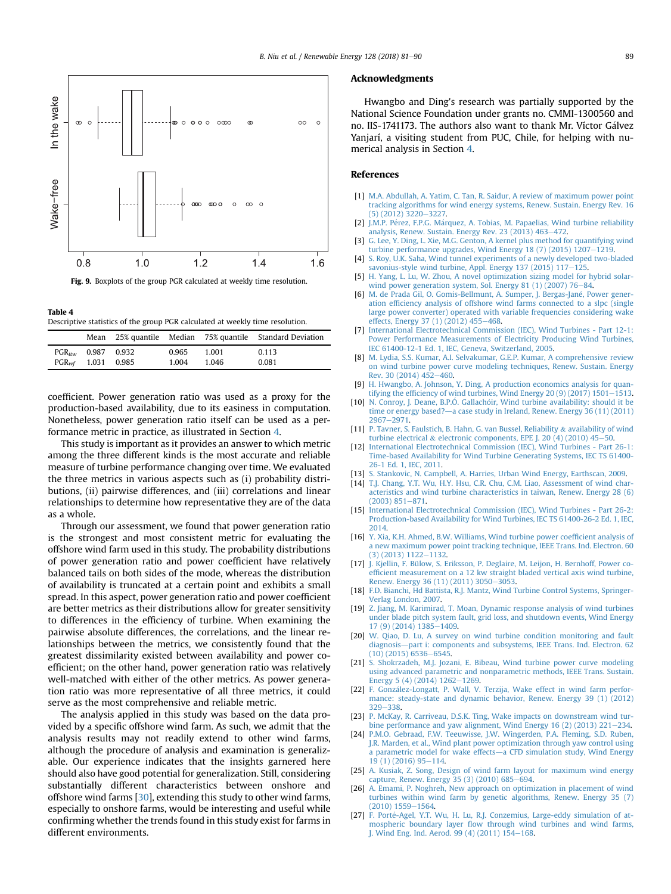<span id="page-8-0"></span>

Fig. 9. Boxplots of the group PGR calculated at weekly time resolution.

Table 4 Descriptive statistics of the group PGR calculated at weekly time resolution.

|                                                   |  |                |                | Mean 25% quantile Median 75% quantile Standard Deviation |
|---------------------------------------------------|--|----------------|----------------|----------------------------------------------------------|
| $PGR_{itw}$ 0.987 0.932<br>$PGR_{wf}$ 1.031 0.985 |  | 0.965<br>1.004 | 1.001<br>1.046 | 0.113<br>0.081                                           |

coefficient. Power generation ratio was used as a proxy for the production-based availability, due to its easiness in computation. Nonetheless, power generation ratio itself can be used as a performance metric in practice, as illustrated in Section [4.](#page-6-0)

This study is important as it provides an answer to which metric among the three different kinds is the most accurate and reliable measure of turbine performance changing over time. We evaluated the three metrics in various aspects such as (i) probability distributions, (ii) pairwise differences, and (iii) correlations and linear relationships to determine how representative they are of the data as a whole.

Through our assessment, we found that power generation ratio is the strongest and most consistent metric for evaluating the offshore wind farm used in this study. The probability distributions of power generation ratio and power coefficient have relatively balanced tails on both sides of the mode, whereas the distribution of availability is truncated at a certain point and exhibits a small spread. In this aspect, power generation ratio and power coefficient are better metrics as their distributions allow for greater sensitivity to differences in the efficiency of turbine. When examining the pairwise absolute differences, the correlations, and the linear relationships between the metrics, we consistently found that the greatest dissimilarity existed between availability and power coefficient; on the other hand, power generation ratio was relatively well-matched with either of the other metrics. As power generation ratio was more representative of all three metrics, it could serve as the most comprehensive and reliable metric.

The analysis applied in this study was based on the data provided by a specific offshore wind farm. As such, we admit that the analysis results may not readily extend to other wind farms, although the procedure of analysis and examination is generalizable. Our experience indicates that the insights garnered here should also have good potential for generalization. Still, considering substantially different characteristics between onshore and offshore wind farms [[30](#page-9-0)], extending this study to other wind farms, especially to onshore farms, would be interesting and useful while confirming whether the trends found in this study exist for farms in different environments.

#### Acknowledgments

Hwangbo and Ding's research was partially supported by the National Science Foundation under grants no. CMMI-1300560 and no. IIS-1741173. The authors also want to thank Mr. Víctor Gálvez Yanjarí, a visiting student from PUC, Chile, for helping with numerical analysis in Section [4](#page-6-0).

#### References

- [1] [M.A. Abdullah, A. Yatim, C. Tan, R. Saidur, A review of maximum power point](http://refhub.elsevier.com/S0960-1481(18)30571-8/sref1) [tracking algorithms for wind energy systems, Renew. Sustain. Energy Rev. 16](http://refhub.elsevier.com/S0960-1481(18)30571-8/sref1)  $(5)$   $(2012)$   $3220 - 3227$
- [2] J.M.P. Pérez, F.P.G. Má[rquez, A. Tobias, M. Papaelias, Wind turbine reliability](http://refhub.elsevier.com/S0960-1481(18)30571-8/sref2) analysis, Renew. Sustain. Energy Rev. 23 (2013)  $463-472$  $463-472$ .
- [3] [G. Lee, Y. Ding, L. Xie, M.G. Genton, A kernel plus method for quantifying wind](http://refhub.elsevier.com/S0960-1481(18)30571-8/sref3) turbine performance upgrades, Wind Energy 18  $(7)$   $(2015)$   $1207-1219$ .
- [4] [S. Roy, U.K. Saha, Wind tunnel experiments of a newly developed two-bladed](http://refhub.elsevier.com/S0960-1481(18)30571-8/sref4) [savonius-style wind turbine, Appl. Energy 137 \(2015\) 117](http://refhub.elsevier.com/S0960-1481(18)30571-8/sref4)-[125](http://refhub.elsevier.com/S0960-1481(18)30571-8/sref4).
- [5] [H. Yang, L. Lu, W. Zhou, A novel optimization sizing model for hybrid solar](http://refhub.elsevier.com/S0960-1481(18)30571-8/sref5)wind power generation system, Sol. Energy 81 $(1)$  $(2007)$  76–84
- [6] M. de Prada Gil, O. Gomis-Bellmunt, A. Sumper, J. Bergas-Jané, Power generation effi[ciency analysis of offshore wind farms connected to a slpc \(single](http://refhub.elsevier.com/S0960-1481(18)30571-8/sref6) [large power converter\) operated with variable frequencies considering wake](http://refhub.elsevier.com/S0960-1481(18)30571-8/sref6) [effects, Energy 37 \(1\) \(2012\) 455](http://refhub.elsevier.com/S0960-1481(18)30571-8/sref6)-[468.](http://refhub.elsevier.com/S0960-1481(18)30571-8/sref6)
- [7] [International Electrotechnical Commission \(IEC\), Wind Turbines Part 12-1:](http://refhub.elsevier.com/S0960-1481(18)30571-8/sref7) [Power Performance Measurements of Electricity Producing Wind Turbines,](http://refhub.elsevier.com/S0960-1481(18)30571-8/sref7) [IEC 61400-12-1 Ed. 1, IEC, Geneva, Switzerland, 2005.](http://refhub.elsevier.com/S0960-1481(18)30571-8/sref7)
- [8] [M. Lydia, S.S. Kumar, A.I. Selvakumar, G.E.P. Kumar, A comprehensive review](http://refhub.elsevier.com/S0960-1481(18)30571-8/sref8) [on wind turbine power curve modeling techniques, Renew. Sustain. Energy](http://refhub.elsevier.com/S0960-1481(18)30571-8/sref8) [Rev. 30 \(2014\) 452](http://refhub.elsevier.com/S0960-1481(18)30571-8/sref8)-[460](http://refhub.elsevier.com/S0960-1481(18)30571-8/sref8).
- [9] [H. Hwangbo, A. Johnson, Y. Ding, A production economics analysis for quan](http://refhub.elsevier.com/S0960-1481(18)30571-8/sref9)tifying the effi[ciency of wind turbines, Wind Energy 20 \(9\) \(2017\) 1501](http://refhub.elsevier.com/S0960-1481(18)30571-8/sref9)-[1513](http://refhub.elsevier.com/S0960-1481(18)30571-8/sref9).
- [10] N. Conroy, J. Deane, B.P.Ó. Gallachó[ir, Wind turbine availability: should it be](http://refhub.elsevier.com/S0960-1481(18)30571-8/sref10) [time or energy based?](http://refhub.elsevier.com/S0960-1481(18)30571-8/sref10)—a case study in Ireland, Renew. Energy  $36 (11) (2011)$ [2967](http://refhub.elsevier.com/S0960-1481(18)30571-8/sref10)-[2971](http://refhub.elsevier.com/S0960-1481(18)30571-8/sref10).
- [11] [P. Tavner, S. Faulstich, B. Hahn, G. van Bussel, Reliability](http://refhub.elsevier.com/S0960-1481(18)30571-8/sref11) & [availability of wind](http://refhub.elsevier.com/S0960-1481(18)30571-8/sref11) [turbine electrical](http://refhub.elsevier.com/S0960-1481(18)30571-8/sref11) & electronic components, EPE J. 20 (4) (2010)  $45-50$  $45-50$ .
- [12] [International Electrotechnical Commission \(IEC\), Wind Turbines Part 26-1:](http://refhub.elsevier.com/S0960-1481(18)30571-8/sref12) [Time-based Availability for Wind Turbine Generating Systems, IEC TS 61400-](http://refhub.elsevier.com/S0960-1481(18)30571-8/sref12) [26-1 Ed. 1, IEC, 2011.](http://refhub.elsevier.com/S0960-1481(18)30571-8/sref12)
- [13] [S. Stankovic, N. Campbell, A. Harries, Urban Wind Energy, Earthscan, 2009.](http://refhub.elsevier.com/S0960-1481(18)30571-8/sref13)
- [14] [T.J. Chang, Y.T. Wu, H.Y. Hsu, C.R. Chu, C.M. Liao, Assessment of wind char](http://refhub.elsevier.com/S0960-1481(18)30571-8/sref14)[acteristics and wind turbine characteristics in taiwan, Renew. Energy 28 \(6\)](http://refhub.elsevier.com/S0960-1481(18)30571-8/sref14)  $(2003)$  851-[871.](http://refhub.elsevier.com/S0960-1481(18)30571-8/sref14)
- [15] [International Electrotechnical Commission \(IEC\), Wind Turbines Part 26-2:](http://refhub.elsevier.com/S0960-1481(18)30571-8/sref15) [Production-based Availability for Wind Turbines, IEC TS 61400-26-2 Ed. 1, IEC,](http://refhub.elsevier.com/S0960-1481(18)30571-8/sref15) [2014.](http://refhub.elsevier.com/S0960-1481(18)30571-8/sref15)
- [16] [Y. Xia, K.H. Ahmed, B.W. Williams, Wind turbine power coef](http://refhub.elsevier.com/S0960-1481(18)30571-8/sref16)ficient analysis of [a new maximum power point tracking technique, IEEE Trans. Ind. Electron. 60](http://refhub.elsevier.com/S0960-1481(18)30571-8/sref16)  $(3)(2013)1122 - 1132.$  $(3)(2013)1122 - 1132.$  $(3)(2013)1122 - 1132.$
- [17] [J. Kjellin, F. Bülow, S. Eriksson, P. Deglaire, M. Leijon, H. Bernhoff, Power co](http://refhub.elsevier.com/S0960-1481(18)30571-8/sref17)effi[cient measurement on a 12 kw straight bladed vertical axis wind turbine,](http://refhub.elsevier.com/S0960-1481(18)30571-8/sref17) [Renew. Energy 36 \(11\) \(2011\) 3050](http://refhub.elsevier.com/S0960-1481(18)30571-8/sref17)-[3053](http://refhub.elsevier.com/S0960-1481(18)30571-8/sref17).
- [18] [F.D. Bianchi, Hd Battista, R.J. Mantz, Wind Turbine Control Systems, Springer-](http://refhub.elsevier.com/S0960-1481(18)30571-8/sref18)[Verlag London, 2007.](http://refhub.elsevier.com/S0960-1481(18)30571-8/sref18)
- [19] [Z. Jiang, M. Karimirad, T. Moan, Dynamic response analysis of wind turbines](http://refhub.elsevier.com/S0960-1481(18)30571-8/sref19) [under blade pitch system fault, grid loss, and shutdown events, Wind Energy](http://refhub.elsevier.com/S0960-1481(18)30571-8/sref19) [17 \(9\) \(2014\) 1385](http://refhub.elsevier.com/S0960-1481(18)30571-8/sref19)-[1409.](http://refhub.elsevier.com/S0960-1481(18)30571-8/sref19)
- [20] [W. Qiao, D. Lu, A survey on wind turbine condition monitoring and fault](http://refhub.elsevier.com/S0960-1481(18)30571-8/sref20) [diagnosis](http://refhub.elsevier.com/S0960-1481(18)30571-8/sref20)-[part i: components and subsystems, IEEE Trans. Ind. Electron. 62](http://refhub.elsevier.com/S0960-1481(18)30571-8/sref20)  $(10)(2015)$  6536-[6545.](http://refhub.elsevier.com/S0960-1481(18)30571-8/sref20)
- [21] [S. Shokrzadeh, M.J. Jozani, E. Bibeau, Wind turbine power curve modeling](http://refhub.elsevier.com/S0960-1481(18)30571-8/sref21) [using advanced parametric and nonparametric methods, IEEE Trans. Sustain.](http://refhub.elsevier.com/S0960-1481(18)30571-8/sref21) Energy 5 (4) (2014)  $1262 - 1269$  $1262 - 1269$ .
- [22] [F. Gonz](http://refhub.elsevier.com/S0960-1481(18)30571-8/sref22)á[lez-Longatt, P. Wall, V. Terzija, Wake effect in wind farm perfor](http://refhub.elsevier.com/S0960-1481(18)30571-8/sref22) [mance: steady-state and dynamic behavior, Renew. Energy 39 \(1\) \(2012\)](http://refhub.elsevier.com/S0960-1481(18)30571-8/sref22) [329](http://refhub.elsevier.com/S0960-1481(18)30571-8/sref22)-[338.](http://refhub.elsevier.com/S0960-1481(18)30571-8/sref22)
- [23] [P. McKay, R. Carriveau, D.S.K. Ting, Wake impacts on downstream wind tur](http://refhub.elsevier.com/S0960-1481(18)30571-8/sref23)bine performance and yaw alignment, Wind Energy 16  $(2)$   $(2013)$   $221-234$ .
- [24] [P.M.O. Gebraad, F.W. Teeuwisse, J.W. Wingerden, P.A. Fleming, S.D. Ruben,](http://refhub.elsevier.com/S0960-1481(18)30571-8/sref24) [J.R. Marden, et al., Wind plant power optimization through yaw control using](http://refhub.elsevier.com/S0960-1481(18)30571-8/sref24) [a parametric model for wake effects](http://refhub.elsevier.com/S0960-1481(18)30571-8/sref24)-[a CFD simulation study, Wind Energy](http://refhub.elsevier.com/S0960-1481(18)30571-8/sref24) [19 \(1\) \(2016\) 95](http://refhub.elsevier.com/S0960-1481(18)30571-8/sref24)-[114.](http://refhub.elsevier.com/S0960-1481(18)30571-8/sref24)
- [25] [A. Kusiak, Z. Song, Design of wind farm layout for maximum wind energy](http://refhub.elsevier.com/S0960-1481(18)30571-8/sref25) [capture, Renew. Energy 35 \(3\) \(2010\) 685](http://refhub.elsevier.com/S0960-1481(18)30571-8/sref25)-[694.](http://refhub.elsevier.com/S0960-1481(18)30571-8/sref25)
- [26] [A. Emami, P. Noghreh, New approach on optimization in placement of wind](http://refhub.elsevier.com/S0960-1481(18)30571-8/sref26) [turbines within wind farm by genetic algorithms, Renew. Energy 35 \(7\)](http://refhub.elsevier.com/S0960-1481(18)30571-8/sref26)  $(2010)$  1559-[1564](http://refhub.elsevier.com/S0960-1481(18)30571-8/sref26).
- [27] [F. Port](http://refhub.elsevier.com/S0960-1481(18)30571-8/sref27)é[-Agel, Y.T. Wu, H. Lu, R.J. Conzemius, Large-eddy simulation of at](http://refhub.elsevier.com/S0960-1481(18)30571-8/sref27) mospheric boundary layer fl[ow through wind turbines and wind farms,](http://refhub.elsevier.com/S0960-1481(18)30571-8/sref27) [J. Wind Eng. Ind. Aerod. 99 \(4\) \(2011\) 154](http://refhub.elsevier.com/S0960-1481(18)30571-8/sref27)-[168.](http://refhub.elsevier.com/S0960-1481(18)30571-8/sref27)